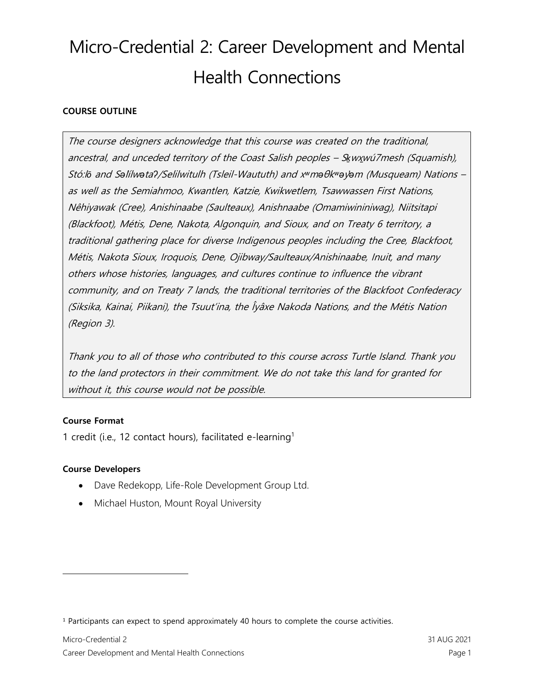## **COURSE OUTLINE**

The course designers acknowledge that this course was created on the traditional, ancestral, and unceded territory of the Coast Salish peoples - Skwxwu7mesh (Squamish), Stó:l*ō* and S*ə*l*̓*ílw*ə*ta*ʔ*/Selilwitulh (Tsleil-Waututh) and x*ʷ*m*ə*θk*ʷə*y*̓ə*m (Musqueam) Nations – as well as the Semiahmoo, Kwantlen, Katzie, Kwikwetlem, Tsawwassen First Nations, Nêhiyawak (Cree), Anishinaabe (Saulteaux), Anishnaabe (Omamiwininiwag), Niitsitapi (Blackfoot), Métis, Dene, Nakota, Algonquin, and Sioux, and on Treaty 6 territory, a traditional gathering place for diverse Indigenous peoples including the Cree, Blackfoot, Métis, Nakota Sioux, Iroquois, Dene, Ojibway/Saulteaux/Anishinaabe, Inuit, and many others whose histories, languages, and cultures continue to influence the vibrant community, and on Treaty 7 lands, the traditional territories of the Blackfoot Confederacy (Siksika, Kainai, Piikani), the Tsuut'ina, the Îyâxe Nakoda Nations, and the Métis Nation (Region 3).

Thank you to all of those who contributed to this course across Turtle Island. Thank you to the land protectors in their commitment. We do not take this land for granted for without it, this course would not be possible.

## **Course Format**

1 credit (i.e., 12 contact hours), facilitated e-learning<sup>1</sup>

## **Course Developers**

- Dave Redekopp, Life-Role Development Group Ltd.
- Michael Huston, Mount Royal University

<sup>&</sup>lt;sup>1</sup> Participants can expect to spend approximately 40 hours to complete the course activities.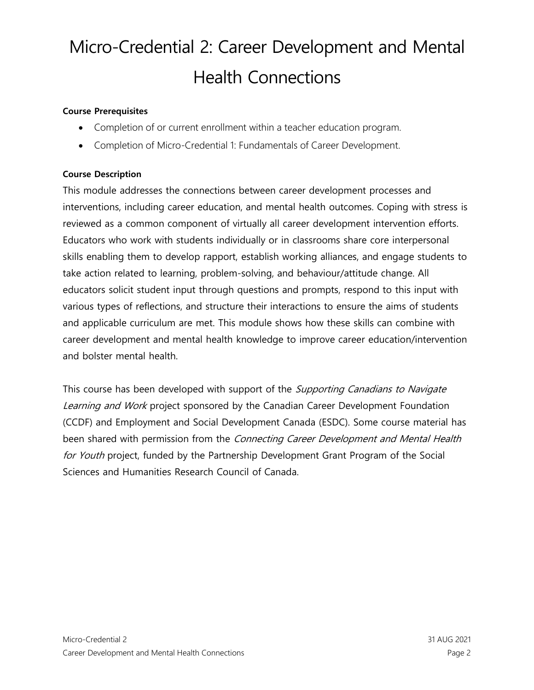### **Course Prerequisites**

- Completion of or current enrollment within a teacher education program.
- Completion of Micro-Credential 1: Fundamentals of Career Development.

#### **Course Description**

This module addresses the connections between career development processes and interventions, including career education, and mental health outcomes. Coping with stress is reviewed as a common component of virtually all career development intervention efforts. Educators who work with students individually or in classrooms share core interpersonal skills enabling them to develop rapport, establish working alliances, and engage students to take action related to learning, problem-solving, and behaviour/attitude change. All educators solicit student input through questions and prompts, respond to this input with various types of reflections, and structure their interactions to ensure the aims of students and applicable curriculum are met. This module shows how these skills can combine with career development and mental health knowledge to improve career education/intervention and bolster mental health.

This course has been developed with support of the *Supporting Canadians to Navigate* Learning and Work project sponsored by the Canadian Career Development Foundation (CCDF) and Employment and Social Development Canada (ESDC). Some course material has been shared with permission from the Connecting Career Development and Mental Health for Youth project, funded by the Partnership Development Grant Program of the Social Sciences and Humanities Research Council of Canada.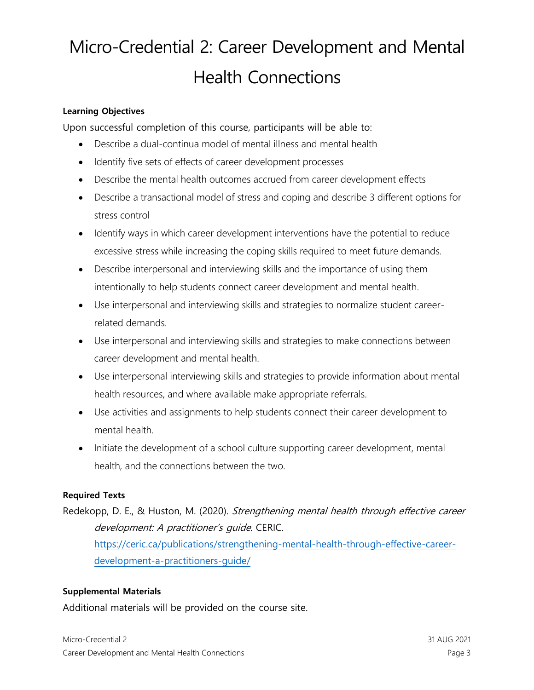### **Learning Objectives**

Upon successful completion of this course, participants will be able to:

- Describe a dual-continua model of mental illness and mental health
- Identify five sets of effects of career development processes
- Describe the mental health outcomes accrued from career development effects
- Describe a transactional model of stress and coping and describe 3 different options for stress control
- Identify ways in which career development interventions have the potential to reduce excessive stress while increasing the coping skills required to meet future demands.
- Describe interpersonal and interviewing skills and the importance of using them intentionally to help students connect career development and mental health.
- Use interpersonal and interviewing skills and strategies to normalize student careerrelated demands.
- Use interpersonal and interviewing skills and strategies to make connections between career development and mental health.
- Use interpersonal interviewing skills and strategies to provide information about mental health resources, and where available make appropriate referrals.
- Use activities and assignments to help students connect their career development to mental health.
- Initiate the development of a school culture supporting career development, mental health, and the connections between the two.

## **Required Texts**

Redekopp, D. E., & Huston, M. (2020). Strengthening mental health through effective career development: A practitioner's quide. CERIC. [https://ceric.ca/publications/strengthening-mental-health-through-effective-career-](https://ceric.ca/publications/strengthening-mental-health-through-effective-career-development-a-practitioners-guide/)

[development-a-practitioners-guide/](https://ceric.ca/publications/strengthening-mental-health-through-effective-career-development-a-practitioners-guide/)

## **Supplemental Materials**

Additional materials will be provided on the course site.